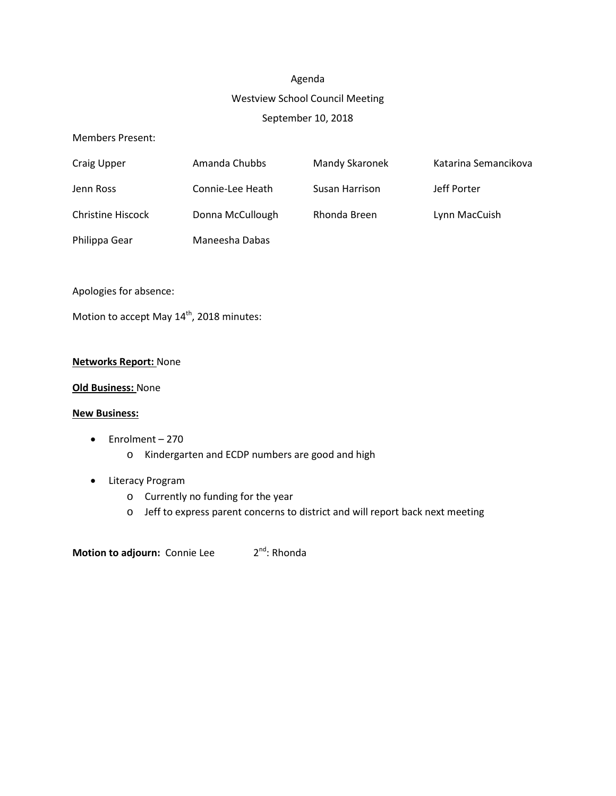# Agenda Westview School Council Meeting September 10, 2018

#### Members Present:

| Craig Upper              | Amanda Chubbs    | <b>Mandy Skaronek</b> | Katarina Semancikova |
|--------------------------|------------------|-----------------------|----------------------|
| Jenn Ross                | Connie-Lee Heath | Susan Harrison        | Jeff Porter          |
| <b>Christine Hiscock</b> | Donna McCullough | Rhonda Breen          | Lynn MacCuish        |
| Philippa Gear            | Maneesha Dabas   |                       |                      |

Apologies for absence:

Motion to accept May  $14^{th}$ , 2018 minutes:

#### **Networks Report:** None

#### **Old Business:** None

#### **New Business:**

- Enrolment 270
	- o Kindergarten and ECDP numbers are good and high
- Literacy Program
	- o Currently no funding for the year
	- o Jeff to express parent concerns to district and will report back next meeting

**Motion to adjourn:** Connie Lee  $2^{nd}$ : Rhonda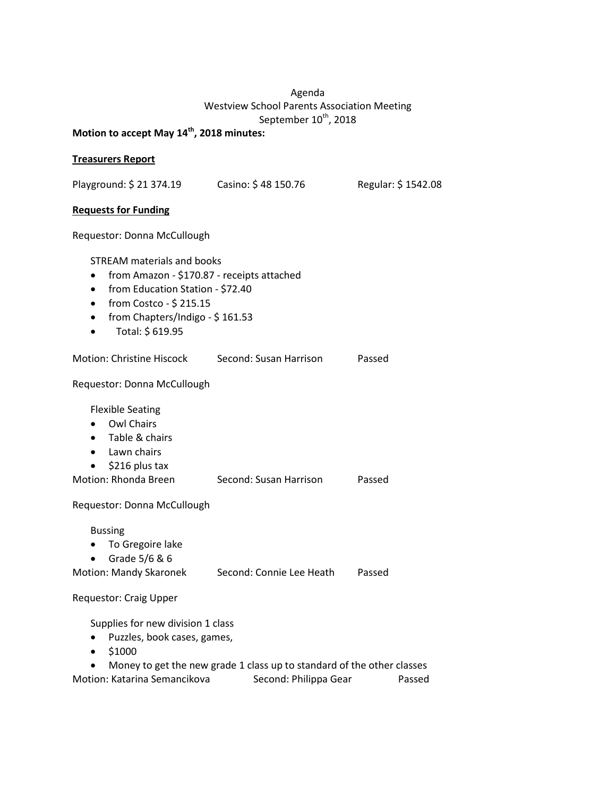## Agenda Westview School Parents Association Meeting September 10<sup>th</sup>, 2018

# **Motion to accept May 14th, 2018 minutes:**

#### **Treasurers Report**

Playground: \$ 21 374.19 Casino: \$ 48 150.76 Regular: \$ 1542.08

#### **Requests for Funding**

Requestor: Donna McCullough

STREAM materials and books

- from Amazon \$170.87 receipts attached
- from Education Station \$72.40
- from Costco \$215.15
- from Chapters/Indigo \$161.53
- Total: \$ 619.95

| Motion: Christine Hiscock | Second: Susan Harrison | Passed |
|---------------------------|------------------------|--------|
|                           |                        |        |

Requestor: Donna McCullough

Flexible Seating

- Owl Chairs
- Table & chairs
- Lawn chairs
- \$216 plus tax

| Motion: Rhonda Breen<br>Passed<br>Second: Susan Harrison |
|----------------------------------------------------------|
|----------------------------------------------------------|

Requestor: Donna McCullough

Bussing

- To Gregoire lake
- Grade 5/6 & 6
- Motion: Mandy Skaronek Second: Connie Lee Heath Passed

Requestor: Craig Upper

Supplies for new division 1 class

- Puzzles, book cases, games,
- $51000$

• Money to get the new grade 1 class up to standard of the other classes Motion: Katarina Semancikova Second: Philippa Gear Passed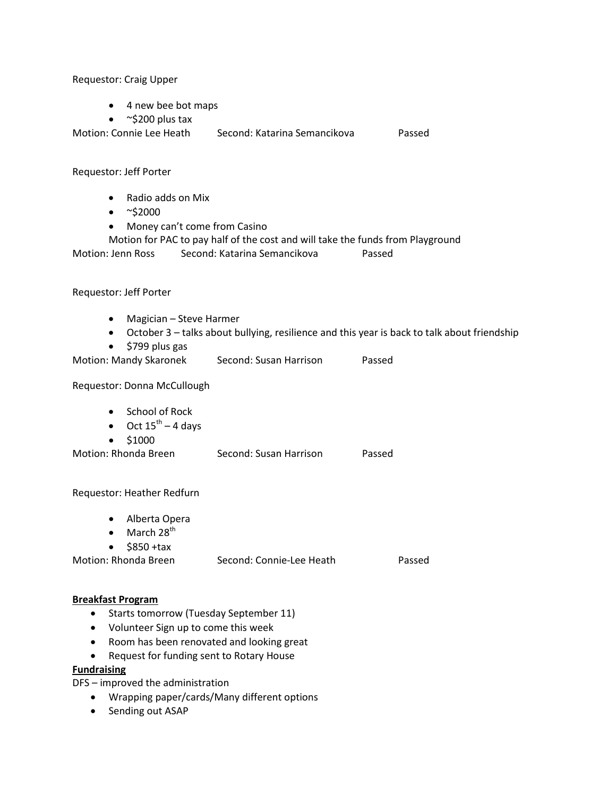Requestor: Craig Upper

- 4 new bee bot maps
- $\sim$ \$200 plus tax
- Motion: Connie Lee Heath Second: Katarina Semancikova Passed

Requestor: Jeff Porter

- Radio adds on Mix
- $~^{\sim}$ \$2000
- Money can't come from Casino
- Motion for PAC to pay half of the cost and will take the funds from Playground Motion: Jenn Ross Second: Katarina Semancikova Passed

#### Requestor: Jeff Porter

- Magician Steve Harmer
- October 3 talks about bullying, resilience and this year is back to talk about friendship
- \$799 plus gas
- Motion: Mandy Skaronek Second: Susan Harrison Passed

Requestor: Donna McCullough

- School of Rock
- Oct  $15^{th}$  4 days
- \$1000

Motion: Rhonda Breen Second: Susan Harrison Passed

Requestor: Heather Redfurn

- Alberta Opera
- $\bullet$  March 28<sup>th</sup>
- $\bullet$  \$850 +tax

| Motion: Rhonda Breen | Second: Connie-Lee Heath | Passed |
|----------------------|--------------------------|--------|
|----------------------|--------------------------|--------|

#### **Breakfast Program**

- Starts tomorrow (Tuesday September 11)
- Volunteer Sign up to come this week
- Room has been renovated and looking great
- Request for funding sent to Rotary House

#### **Fundraising**

DFS – improved the administration

- Wrapping paper/cards/Many different options
- Sending out ASAP